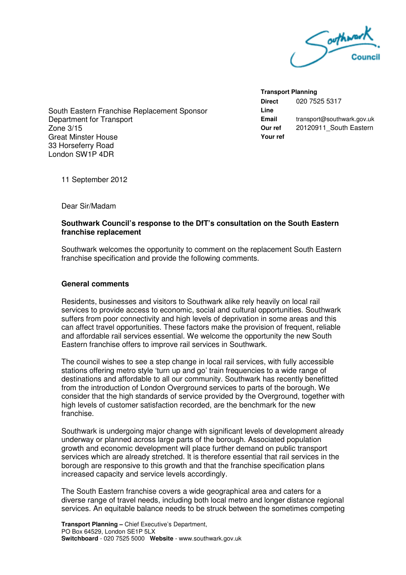

South Eastern Franchise Replacement Sponsor Department for Transport Zone 3/15 Great Minster House 33 Horseferry Road London SW1P 4DR

**Transport Planning Direct Line**  020 7525 5317 **Email** transport@southwark.gov.uk **Our ref**  20120911 South Eastern **Your ref** 

11 September 2012

Dear Sir/Madam

## **Southwark Council's response to the DfT's consultation on the South Eastern franchise replacement**

Southwark welcomes the opportunity to comment on the replacement South Eastern franchise specification and provide the following comments.

## **General comments**

Residents, businesses and visitors to Southwark alike rely heavily on local rail services to provide access to economic, social and cultural opportunities. Southwark suffers from poor connectivity and high levels of deprivation in some areas and this can affect travel opportunities. These factors make the provision of frequent, reliable and affordable rail services essential. We welcome the opportunity the new South Eastern franchise offers to improve rail services in Southwark.

The council wishes to see a step change in local rail services, with fully accessible stations offering metro style 'turn up and go' train frequencies to a wide range of destinations and affordable to all our community. Southwark has recently benefitted from the introduction of London Overground services to parts of the borough. We consider that the high standards of service provided by the Overground, together with high levels of customer satisfaction recorded, are the benchmark for the new franchise.

Southwark is undergoing major change with significant levels of development already underway or planned across large parts of the borough. Associated population growth and economic development will place further demand on public transport services which are already stretched. It is therefore essential that rail services in the borough are responsive to this growth and that the franchise specification plans increased capacity and service levels accordingly.

The South Eastern franchise covers a wide geographical area and caters for a diverse range of travel needs, including both local metro and longer distance regional services. An equitable balance needs to be struck between the sometimes competing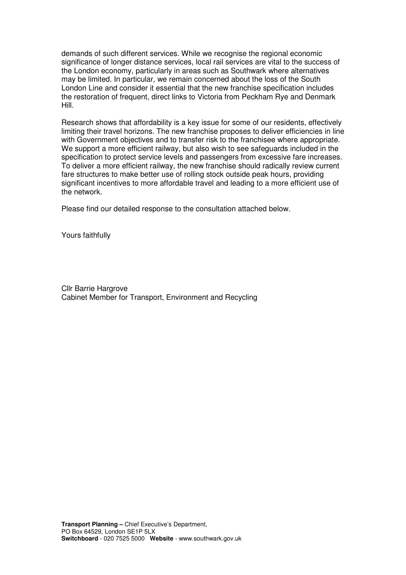demands of such different services. While we recognise the regional economic significance of longer distance services, local rail services are vital to the success of the London economy, particularly in areas such as Southwark where alternatives may be limited. In particular, we remain concerned about the loss of the South London Line and consider it essential that the new franchise specification includes the restoration of frequent, direct links to Victoria from Peckham Rye and Denmark Hill.

Research shows that affordability is a key issue for some of our residents, effectively limiting their travel horizons. The new franchise proposes to deliver efficiencies in line with Government objectives and to transfer risk to the franchisee where appropriate. We support a more efficient railway, but also wish to see safeguards included in the specification to protect service levels and passengers from excessive fare increases. To deliver a more efficient railway, the new franchise should radically review current fare structures to make better use of rolling stock outside peak hours, providing significant incentives to more affordable travel and leading to a more efficient use of the network.

Please find our detailed response to the consultation attached below.

Yours faithfully

Cllr Barrie Hargrove Cabinet Member for Transport, Environment and Recycling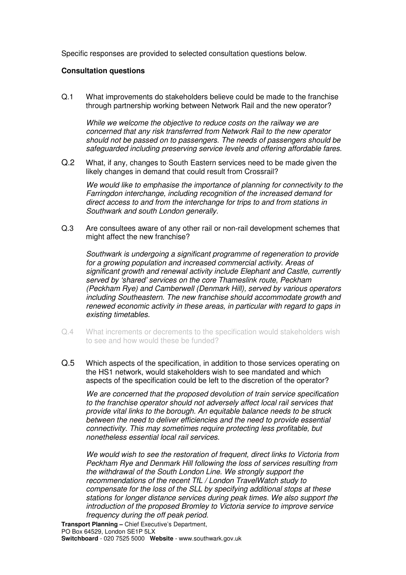Specific responses are provided to selected consultation questions below.

## **Consultation questions**

Q.1 What improvements do stakeholders believe could be made to the franchise through partnership working between Network Rail and the new operator?

While we welcome the objective to reduce costs on the railway we are concerned that any risk transferred from Network Rail to the new operator should not be passed on to passengers. The needs of passengers should be safeguarded including preserving service levels and offering affordable fares.

Q.2 What, if any, changes to South Eastern services need to be made given the likely changes in demand that could result from Crossrail?

We would like to emphasise the importance of planning for connectivity to the Farringdon interchange, including recognition of the increased demand for direct access to and from the interchange for trips to and from stations in Southwark and south London generally.

Q.3 Are consultees aware of any other rail or non-rail development schemes that might affect the new franchise?

Southwark is undergoing a significant programme of regeneration to provide for a growing population and increased commercial activity. Areas of significant growth and renewal activity include Elephant and Castle, currently served by 'shared' services on the core Thameslink route, Peckham (Peckham Rye) and Camberwell (Denmark Hill), served by various operators including Southeastern. The new franchise should accommodate growth and renewed economic activity in these areas, in particular with regard to gaps in existing timetables.

- Q.4 What increments or decrements to the specification would stakeholders wish to see and how would these be funded?
- Q.5 Which aspects of the specification, in addition to those services operating on the HS1 network, would stakeholders wish to see mandated and which aspects of the specification could be left to the discretion of the operator?

We are concerned that the proposed devolution of train service specification to the franchise operator should not adversely affect local rail services that provide vital links to the borough. An equitable balance needs to be struck between the need to deliver efficiencies and the need to provide essential connectivity. This may sometimes require protecting less profitable, but nonetheless essential local rail services.

 We would wish to see the restoration of frequent, direct links to Victoria from Peckham Rye and Denmark Hill following the loss of services resulting from the withdrawal of the South London Line. We strongly support the recommendations of the recent TfL / London TravelWatch study to compensate for the loss of the SLL by specifying additional stops at these stations for longer distance services during peak times. We also support the introduction of the proposed Bromley to Victoria service to improve service frequency during the off peak period.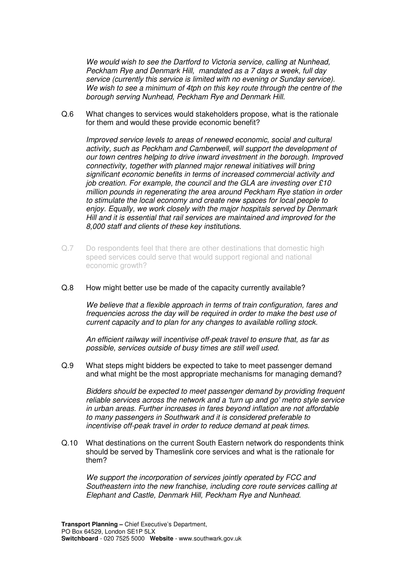We would wish to see the Dartford to Victoria service, calling at Nunhead, Peckham Rye and Denmark Hill, mandated as a 7 days a week, full day service (currently this service is limited with no evening or Sunday service). We wish to see a minimum of 4tph on this key route through the centre of the borough serving Nunhead, Peckham Rye and Denmark Hill.

Q.6 What changes to services would stakeholders propose, what is the rationale for them and would these provide economic benefit?

Improved service levels to areas of renewed economic, social and cultural activity, such as Peckham and Camberwell, will support the development of our town centres helping to drive inward investment in the borough. Improved connectivity, together with planned major renewal initiatives will bring significant economic benefits in terms of increased commercial activity and job creation. For example, the council and the GLA are investing over £10 million pounds in regenerating the area around Peckham Rye station in order to stimulate the local economy and create new spaces for local people to enjoy. Equally, we work closely with the major hospitals served by Denmark Hill and it is essential that rail services are maintained and improved for the 8,000 staff and clients of these key institutions.

- Q.7 Do respondents feel that there are other destinations that domestic high speed services could serve that would support regional and national economic growth?
- Q.8 How might better use be made of the capacity currently available?

We believe that a flexible approach in terms of train configuration, fares and frequencies across the day will be required in order to make the best use of current capacity and to plan for any changes to available rolling stock.

An efficient railway will incentivise off-peak travel to ensure that, as far as possible, services outside of busy times are still well used.

Q.9 What steps might bidders be expected to take to meet passenger demand and what might be the most appropriate mechanisms for managing demand?

Bidders should be expected to meet passenger demand by providing frequent reliable services across the network and a 'turn up and go' metro style service in urban areas. Further increases in fares beyond inflation are not affordable to many passengers in Southwark and it is considered preferable to incentivise off-peak travel in order to reduce demand at peak times.

Q.10 What destinations on the current South Eastern network do respondents think should be served by Thameslink core services and what is the rationale for them?

We support the incorporation of services jointly operated by FCC and Southeastern into the new franchise, including core route services calling at Elephant and Castle, Denmark Hill, Peckham Rye and Nunhead.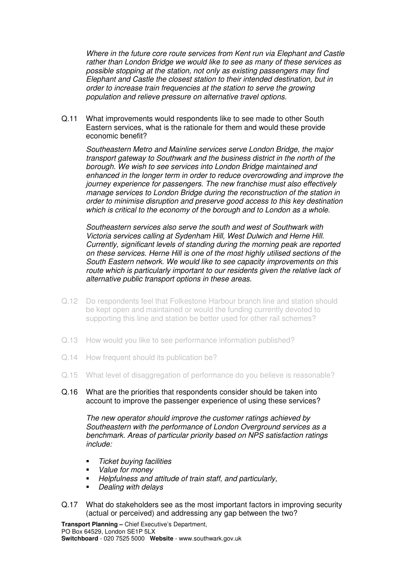Where in the future core route services from Kent run via Elephant and Castle rather than London Bridge we would like to see as many of these services as possible stopping at the station, not only as existing passengers may find Elephant and Castle the closest station to their intended destination, but in order to increase train frequencies at the station to serve the growing population and relieve pressure on alternative travel options.

Q.11 What improvements would respondents like to see made to other South Eastern services, what is the rationale for them and would these provide economic benefit?

Southeastern Metro and Mainline services serve London Bridge, the major transport gateway to Southwark and the business district in the north of the borough. We wish to see services into London Bridge maintained and enhanced in the longer term in order to reduce overcrowding and improve the journey experience for passengers. The new franchise must also effectively manage services to London Bridge during the reconstruction of the station in order to minimise disruption and preserve good access to this key destination which is critical to the economy of the borough and to London as a whole.

Southeastern services also serve the south and west of Southwark with Victoria services calling at Sydenham Hill, West Dulwich and Herne Hill. Currently, significant levels of standing during the morning peak are reported on these services. Herne Hill is one of the most highly utilised sections of the South Eastern network. We would like to see capacity improvements on this route which is particularly important to our residents given the relative lack of alternative public transport options in these areas.

- Q.12 Do respondents feel that Folkestone Harbour branch line and station should be kept open and maintained or would the funding currently devoted to supporting this line and station be better used for other rail schemes?
- Q.13 How would you like to see performance information published?
- Q.14 How frequent should its publication be?
- Q.15 What level of disaggregation of performance do you believe is reasonable?
- Q.16 What are the priorities that respondents consider should be taken into account to improve the passenger experience of using these services?

The new operator should improve the customer ratings achieved by Southeastern with the performance of London Overground services as a benchmark. Areas of particular priority based on NPS satisfaction ratings include:

- Ticket buying facilities
- Value for money
- **Helpfulness and attitude of train staff, and particularly,**
- Dealing with delays
- Q.17 What do stakeholders see as the most important factors in improving security (actual or perceived) and addressing any gap between the two?

**Transport Planning –** Chief Executive's Department, PO Box 64529, London SE1P 5LX **Switchboard** - 020 7525 5000 **Website** - www.southwark.gov.uk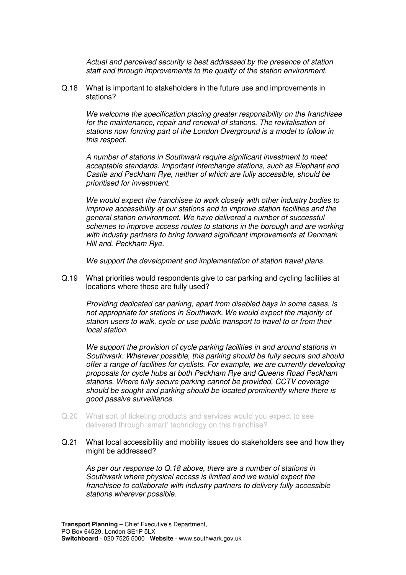Actual and perceived security is best addressed by the presence of station staff and through improvements to the quality of the station environment.

Q.18 What is important to stakeholders in the future use and improvements in stations?

We welcome the specification placing greater responsibility on the franchisee for the maintenance, repair and renewal of stations. The revitalisation of stations now forming part of the London Overground is a model to follow in this respect.

A number of stations in Southwark require significant investment to meet acceptable standards. Important interchange stations, such as Elephant and Castle and Peckham Rye, neither of which are fully accessible, should be prioritised for investment.

We would expect the franchisee to work closely with other industry bodies to improve accessibility at our stations and to improve station facilities and the general station environment. We have delivered a number of successful schemes to improve access routes to stations in the borough and are working with industry partners to bring forward significant improvements at Denmark Hill and, Peckham Rye.

We support the development and implementation of station travel plans.

Q.19 What priorities would respondents give to car parking and cycling facilities at locations where these are fully used?

Providing dedicated car parking, apart from disabled bays in some cases, is not appropriate for stations in Southwark. We would expect the majority of station users to walk, cycle or use public transport to travel to or from their local station.

We support the provision of cycle parking facilities in and around stations in Southwark. Wherever possible, this parking should be fully secure and should offer a range of facilities for cyclists. For example, we are currently developing proposals for cycle hubs at both Peckham Rye and Queens Road Peckham stations. Where fully secure parking cannot be provided, CCTV coverage should be sought and parking should be located prominently where there is good passive surveillance.

- Q.20 What sort of ticketing products and services would you expect to see delivered through 'smart' technology on this franchise?
- Q.21 What local accessibility and mobility issues do stakeholders see and how they might be addressed?

As per our response to Q.18 above, there are a number of stations in Southwark where physical access is limited and we would expect the franchisee to collaborate with industry partners to delivery fully accessible stations wherever possible.